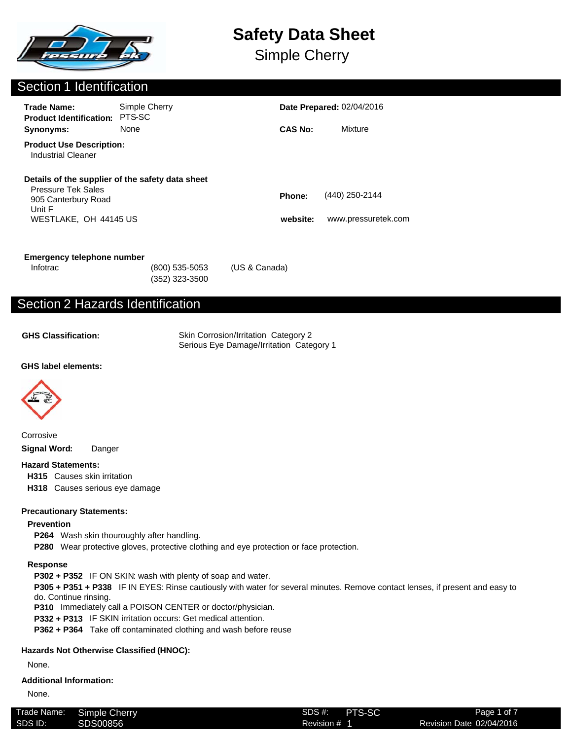

Simple Cherry

## Section 1 Identification

| <b>Trade Name:</b><br><b>Product Identification:</b>                                | Simple Cherry<br>PTS-SC                          |                    | <b>Date Prepared: 02/04/2016</b>      |  |
|-------------------------------------------------------------------------------------|--------------------------------------------------|--------------------|---------------------------------------|--|
| Synonyms:                                                                           | None                                             | <b>CAS No:</b>     | Mixture                               |  |
| <b>Product Use Description:</b><br><b>Industrial Cleaner</b>                        |                                                  |                    |                                       |  |
| <b>Pressure Tek Sales</b><br>905 Canterbury Road<br>Unit F<br>WESTLAKE, OH 44145 US | Details of the supplier of the safety data sheet | Phone:<br>website: | (440) 250-2144<br>www.pressuretek.com |  |
|                                                                                     |                                                  |                    |                                       |  |

| Emergency telephone number |                  |               |
|----------------------------|------------------|---------------|
| Infotrac                   | $(800)$ 535-5053 | (US & Canada) |

(352) 323-3500

## Section 2 Hazards Identification

**GHS Classification:**

Skin Corrosion/Irritation Category 2 Serious Eye Damage/Irritation Category 1

#### **GHS label elements:**



Corrosive **Signal Word:** Danger

#### **Hazard Statements:**

**H315** Causes skin irritation

**H318** Causes serious eye damage

#### **Precautionary Statements:**

#### **Prevention**

- **P264** Wash skin thouroughly after handling.
- **P280** Wear protective gloves, protective clothing and eye protection or face protection.

#### **Response**

**P302 + P352** IF ON SKIN: wash with plenty of soap and water.

**P305 + P351 + P338** IF IN EYES: Rinse cautiously with water for several minutes. Remove contact lenses, if present and easy to do. Continue rinsing.

**P310** Immediately call a POISON CENTER or doctor/physician.

**P332 + P313** IF SKIN irritation occurs: Get medical attention.

**P362 + P364** Take off contaminated clothing and wash before reuse

#### **Hazards Not Otherwise Classified (HNOC):**

None.

#### **Additional Information:**

None.

| Trade Name: | Simple Cherry | SDS #:     | PTS-SC |
|-------------|---------------|------------|--------|
| SDS ID:     | SDS00856      | Revision # |        |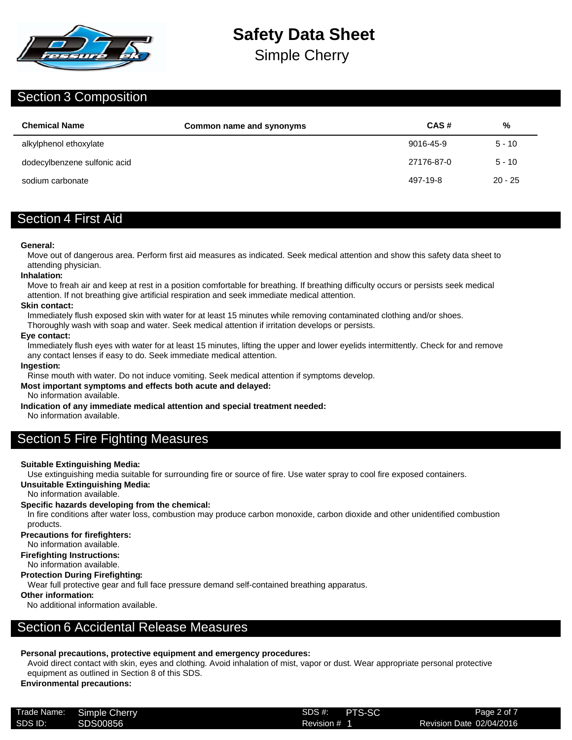

Simple Cherry

### Section 3 Composition

| <b>Chemical Name</b>         | Common name and synonyms | CAS#       | %        |
|------------------------------|--------------------------|------------|----------|
| alkylphenol ethoxylate       |                          | 9016-45-9  | $5 - 10$ |
| dodecylbenzene sulfonic acid |                          | 27176-87-0 | $5 - 10$ |
| sodium carbonate             |                          | 497-19-8   | 20 - 25  |

## Section 4 First Aid

#### **General:**

Move out of dangerous area. Perform first aid measures as indicated. Seek medical attention and show this safety data sheet to attending physician.

#### **Inhalation:**

Move to freah air and keep at rest in a position comfortable for breathing. If breathing difficulty occurs or persists seek medical attention. If not breathing give artificial respiration and seek immediate medical attention.

#### **Skin contact:**

Immediately flush exposed skin with water for at least 15 minutes while removing contaminated clothing and/or shoes.

Thoroughly wash with soap and water. Seek medical attention if irritation develops or persists.

#### **Eye contact:**

Immediately flush eyes with water for at least 15 minutes, lifting the upper and lower eyelids intermittently. Check for and remove any contact lenses if easy to do. Seek immediate medical attention.

#### **Ingestion:**

Rinse mouth with water. Do not induce vomiting. Seek medical attention if symptoms develop.

#### **Most important symptoms and effects both acute and delayed:**

No information available.

**Indication of any immediate medical attention and special treatment needed:**

No information available.

## Section 5 Fire Fighting Measures

#### **Suitable Extinguishing Media:**

Use extinguishing media suitable for surrounding fire or source of fire. Use water spray to cool fire exposed containers.

#### **Unsuitable Extinguishing Media:**

No information available.

#### **Specific hazards developing from the chemical:**

In fire conditions after water loss, combustion may produce carbon monoxide, carbon dioxide and other unidentified combustion products.

#### **Precautions for firefighters:**

No information available.

**Firefighting Instructions:**

### No information available.

#### **Protection During Firefighting:**

Wear full protective gear and full face pressure demand self-contained breathing apparatus.

#### **Other information:**

No additional information available.

## Section 6 Accidental Release Measures

#### **Personal precautions, protective equipment and emergency procedures:**

Avoid direct contact with skin, eyes and clothing. Avoid inhalation of mist, vapor or dust. Wear appropriate personal protective equipment as outlined in Section 8 of this SDS.

### **Environmental precautions:**

| Trade Name: | Simple Cherry | SDS #:       | PTS-SC |
|-------------|---------------|--------------|--------|
| SDS ID:     | SDS00856      | Revision # 1 |        |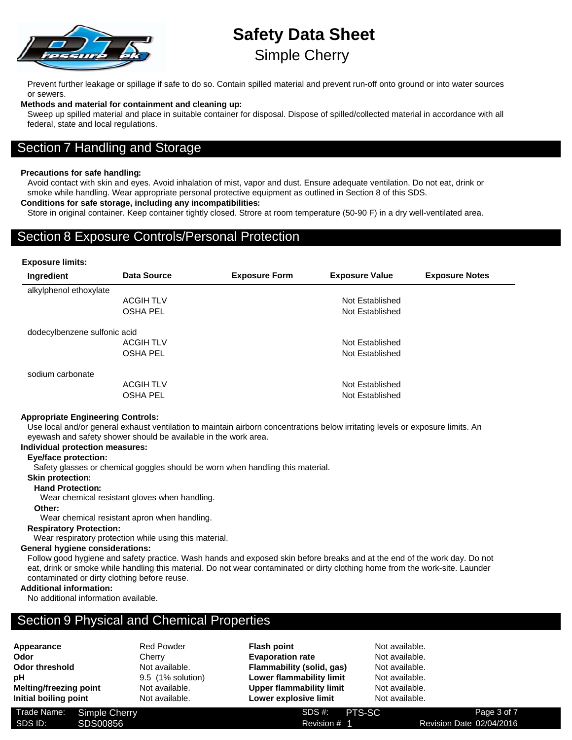

## **Safety Data Sheet** Simple Cherry

Prevent further leakage or spillage if safe to do so. Contain spilled material and prevent run-off onto ground or into water sources or sewers.

#### **Methods and material for containment and cleaning up:**

Sweep up spilled material and place in suitable container for disposal. Dispose of spilled/collected material in accordance with all federal, state and local regulations.

### Section 7 Handling and Storage

#### **Precautions for safe handling:**

Avoid contact with skin and eyes. Avoid inhalation of mist, vapor and dust. Ensure adequate ventilation. Do not eat, drink or smoke while handling. Wear appropriate personal protective equipment as outlined in Section 8 of this SDS.

#### **Conditions for safe storage, including any incompatibilities:**

Store in original container. Keep container tightly closed. Strore at room temperature (50-90 F) in a dry well-ventilated area.

#### Section 8 Exposure Controls/Personal Protection

#### **Exposure limits:**

| Ingredient                   | Data Source      | <b>Exposure Form</b> | <b>Exposure Value</b> | <b>Exposure Notes</b> |
|------------------------------|------------------|----------------------|-----------------------|-----------------------|
| alkylphenol ethoxylate       |                  |                      |                       |                       |
|                              | <b>ACGIH TLV</b> |                      | Not Established       |                       |
|                              | <b>OSHA PEL</b>  |                      | Not Established       |                       |
| dodecylbenzene sulfonic acid |                  |                      |                       |                       |
|                              | <b>ACGIH TLV</b> |                      | Not Established       |                       |
|                              | <b>OSHA PEL</b>  |                      | Not Established       |                       |
| sodium carbonate             |                  |                      |                       |                       |
|                              | <b>ACGIH TLV</b> |                      | Not Established       |                       |
|                              | <b>OSHA PEL</b>  |                      | Not Established       |                       |

#### **Appropriate Engineering Controls:**

Use local and/or general exhaust ventilation to maintain airborn concentrations below irritating levels or exposure limits. An eyewash and safety shower should be available in the work area.

#### **Individual protection measures:**

#### **Eye/face protection:**

Safety glasses or chemical goggles should be worn when handling this material.

#### **Skin protection:**

**Hand Protection:**

Wear chemical resistant gloves when handling.

#### **Other:**

Wear chemical resistant apron when handling.

#### **Respiratory Protection:**

Wear respiratory protection while using this material.

#### **General hygiene considerations:**

Follow good hygiene and safety practice. Wash hands and exposed skin before breaks and at the end of the work day. Do not eat, drink or smoke while handling this material. Do not wear contaminated or dirty clothing home from the work-site. Launder contaminated or dirty clothing before reuse.

#### **Additional information:**

No additional information available.

## **Section 9 Physical and Chemical Properties**

- Appearance Red Powder **Odor** Cherry **Odor threshold** Not available. **pH** 9.5 (1% solution) **Melting/freezing point** Not available. **Initial boiling point** Not available.
	-

**Flash point** Not available. **Evaporation rate** Not available. **Flammability (solid, gas)** Not available. **Lower flammability limit** Not available. **Upper flammability limit** Not available. **Lower explosive limit** Not available.

Trade Name: SDS #: Simple Cherry PTS-SCSDS ID: SDS00856 SDS00856 Revision # 1 Revision Date 02/04/2016

Revision # 1

Page 3 of 7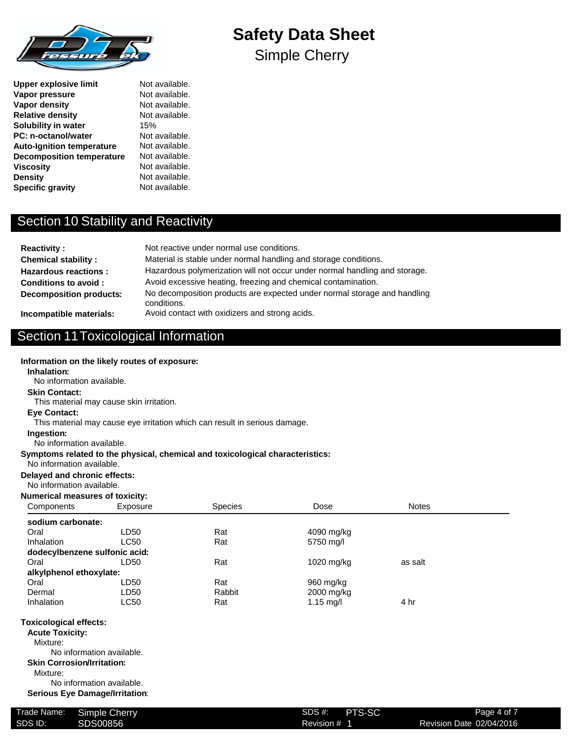

**Upper explosive limit** Not available. **Vapor pressure** Not available. **Vapor density Not available.**<br> **Relative density Not available. Relative density Solubility in water** 15% **PC: n-octanol/water** Not available. **Auto-Ignition temperature** Not available.<br>**Decomposition temperature** Not available. **Decomposition temperature Viscosity Not available. Density** Not available. **Specific gravity** Not available.

# **Safety Data Sheet**

Simple Cherry

## Section 10 Stability and Reactivity

| <b>Reactivity:</b>                | Not reactive under normal use conditions.                                               |
|-----------------------------------|-----------------------------------------------------------------------------------------|
| <b>Chemical stability:</b>        | Material is stable under normal handling and storage conditions.                        |
| <b>Hazardous reactions:</b>       | Hazardous polymerization will not occur under normal handling and storage.              |
| Conditions to avoid:              | Avoid excessive heating, freezing and chemical contamination.                           |
| <b>Decomposition products:</b>    | No decomposition products are expected under normal storage and handling<br>conditions. |
| الماحا والمستحدث والمائه وموجودها | Avoid contact with ovidizors and otropa opida                                           |

**Incompatible materials:** Avoid contact with oxidizers and strong acids.

No information available.

**Inhalation:**

**Skin Contact:**

**Eye Contact:**

# Section 11Toxicological Information

**Information on the likely routes of exposure:**

This material may cause skin irritation.

| This material may cause eye irritation which can result in serious damage. |                                   |                                                                               |             |              |  |  |
|----------------------------------------------------------------------------|-----------------------------------|-------------------------------------------------------------------------------|-------------|--------------|--|--|
| Ingestion:                                                                 |                                   |                                                                               |             |              |  |  |
| No information available.                                                  |                                   |                                                                               |             |              |  |  |
|                                                                            |                                   | Symptoms related to the physical, chemical and toxicological characteristics: |             |              |  |  |
| No information available.                                                  |                                   |                                                                               |             |              |  |  |
| Delayed and chronic effects:                                               |                                   |                                                                               |             |              |  |  |
| No information available.                                                  |                                   |                                                                               |             |              |  |  |
| <b>Numerical measures of toxicity:</b>                                     |                                   |                                                                               |             |              |  |  |
| Components                                                                 | Exposure                          | Species                                                                       | Dose        | <b>Notes</b> |  |  |
| sodium carbonate:                                                          |                                   |                                                                               |             |              |  |  |
| Oral                                                                       | LD <sub>50</sub>                  | Rat                                                                           | 4090 mg/kg  |              |  |  |
| Inhalation                                                                 | <b>LC50</b>                       | Rat                                                                           | 5750 mg/l   |              |  |  |
| dodecylbenzene sulfonic acid:                                              |                                   |                                                                               |             |              |  |  |
| Oral                                                                       | LD50                              | Rat                                                                           | 1020 mg/kg  | as salt      |  |  |
| alkylphenol ethoxylate:                                                    |                                   |                                                                               |             |              |  |  |
| Oral                                                                       | LD50                              | Rat                                                                           | 960 mg/kg   |              |  |  |
| Dermal                                                                     | LD50                              | Rabbit                                                                        | 2000 mg/kg  |              |  |  |
| Inhalation                                                                 | <b>LC50</b>                       | Rat                                                                           | 1.15 $mg/l$ | 4 hr         |  |  |
| <b>Toxicological effects:</b>                                              |                                   |                                                                               |             |              |  |  |
| <b>Acute Toxicity:</b>                                                     |                                   |                                                                               |             |              |  |  |
| Mixture:                                                                   |                                   |                                                                               |             |              |  |  |
|                                                                            | No information available.         |                                                                               |             |              |  |  |
|                                                                            | <b>Skin Corrosion/Irritation:</b> |                                                                               |             |              |  |  |
| Mixture:                                                                   |                                   |                                                                               |             |              |  |  |
|                                                                            | No information available.         |                                                                               |             |              |  |  |
| <b>Serious Eye Damage/Irritation:</b>                                      |                                   |                                                                               |             |              |  |  |
|                                                                            |                                   |                                                                               |             |              |  |  |

| Trade Name: | <b>Simple Cherry</b> | PTS-SC<br>SDS #: | Page 4 of 7              |
|-------------|----------------------|------------------|--------------------------|
| SDS ID:     | SDS00856             | Revision #       | Revision Date 02/04/2016 |
|             |                      |                  |                          |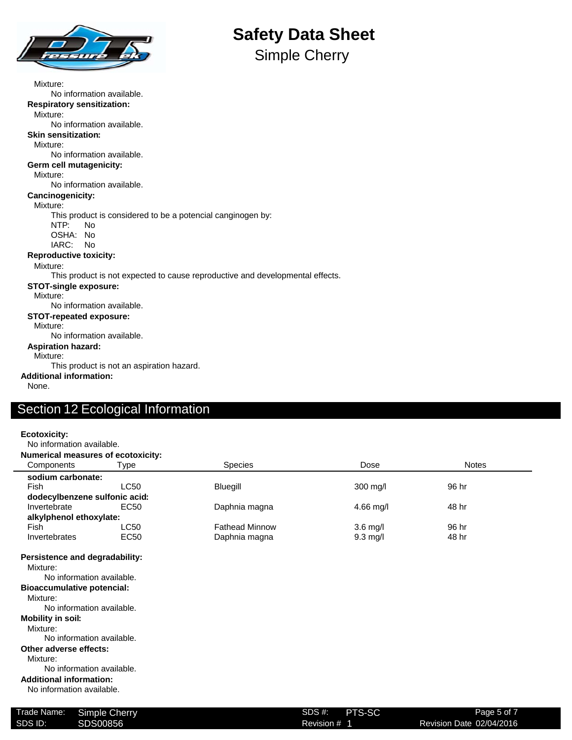

Simple Cherry

Mixture: No information available. **Respiratory sensitization:** Mixture: No information available. **Skin sensitization:** Mixture: No information available. **Germ cell mutagenicity:** Mixture: No information available. **Cancinogenicity:** Mixture: This product is considered to be a potencial canginogen by: NTP: No OSHA: No IARC: No **Reproductive toxicity:** Mixture: This product is not expected to cause reproductive and developmental effects. **STOT-single exposure:** Mixture: No information available. **STOT-repeated exposure:** Mixture: No information available. **Aspiration hazard:** Mixture: This product is not an aspiration hazard. **Additional information:** None.

## Section 12 Ecological Information

| <b>Ecotoxicity:</b><br>No information available.                                                                                                                                                                                                                                                                                                             |             |                       |            |              |  |
|--------------------------------------------------------------------------------------------------------------------------------------------------------------------------------------------------------------------------------------------------------------------------------------------------------------------------------------------------------------|-------------|-----------------------|------------|--------------|--|
| <b>Numerical measures of ecotoxicity:</b>                                                                                                                                                                                                                                                                                                                    |             |                       |            |              |  |
| Components                                                                                                                                                                                                                                                                                                                                                   | Type        | <b>Species</b>        | Dose       | <b>Notes</b> |  |
| sodium carbonate:                                                                                                                                                                                                                                                                                                                                            |             |                       |            |              |  |
| <b>Fish</b>                                                                                                                                                                                                                                                                                                                                                  | <b>LC50</b> | Bluegill              | 300 mg/l   | 96 hr        |  |
| dodecylbenzene sulfonic acid:                                                                                                                                                                                                                                                                                                                                |             |                       |            |              |  |
| Invertebrate                                                                                                                                                                                                                                                                                                                                                 | EC50        | Daphnia magna         | 4.66 mg/l  | 48 hr        |  |
| alkylphenol ethoxylate:                                                                                                                                                                                                                                                                                                                                      |             |                       |            |              |  |
| Fish                                                                                                                                                                                                                                                                                                                                                         | <b>LC50</b> | <b>Fathead Minnow</b> | $3.6$ mg/l | 96 hr        |  |
| Invertebrates                                                                                                                                                                                                                                                                                                                                                | EC50        | Daphnia magna         | $9.3$ mg/l | 48 hr        |  |
| Persistence and degradability:<br>Mixture:<br>No information available.<br><b>Bioaccumulative potencial:</b><br>Mixture:<br>No information available.<br><b>Mobility in soil:</b><br>Mixture:<br>No information available.<br>Other adverse effects:<br>Mixture:<br>No information available.<br><b>Additional information:</b><br>No information available. |             |                       |            |              |  |

| Trade Name: | Simple Cherry | SDS #:  |
|-------------|---------------|---------|
| SDS ID:     | SDS00856      | Revisio |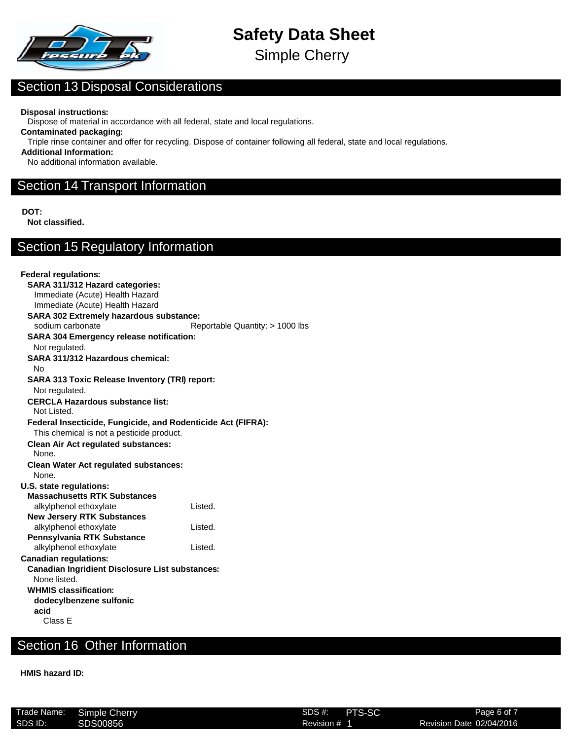

Simple Cherry

## Section 13 Disposal Considerations

**Disposal instructions:**

Dispose of material in accordance with all federal, state and local regulations.

**Contaminated packaging:**

Triple rinse container and offer for recycling. Dispose of container following all federal, state and local regulations.

**Additional Information:**

No additional information available.

## Section 14 Transport Information

**DOT:**

**Not classified.**

## Section 15 Regulatory Information

| <b>Federal regulations:</b>                                  |                                 |
|--------------------------------------------------------------|---------------------------------|
| SARA 311/312 Hazard categories:                              |                                 |
| Immediate (Acute) Health Hazard                              |                                 |
| Immediate (Acute) Health Hazard                              |                                 |
| <b>SARA 302 Extremely hazardous substance:</b>               |                                 |
| sodium carbonate                                             | Reportable Quantity: > 1000 lbs |
| <b>SARA 304 Emergency release notification:</b>              |                                 |
| Not regulated.                                               |                                 |
| SARA 311/312 Hazardous chemical:                             |                                 |
| No                                                           |                                 |
| SARA 313 Toxic Release Inventory (TRI) report:               |                                 |
| Not regulated.                                               |                                 |
| <b>CERCLA Hazardous substance list:</b>                      |                                 |
| Not Listed.                                                  |                                 |
| Federal Insecticide, Fungicide, and Rodenticide Act (FIFRA): |                                 |
| This chemical is not a pesticide product.                    |                                 |
| <b>Clean Air Act regulated substances:</b>                   |                                 |
| None.                                                        |                                 |
| <b>Clean Water Act regulated substances:</b>                 |                                 |
| None.                                                        |                                 |
| U.S. state regulations:                                      |                                 |
| <b>Massachusetts RTK Substances</b>                          |                                 |
| alkylphenol ethoxylate                                       | Listed.                         |
| <b>New Jersery RTK Substances</b>                            |                                 |
| alkylphenol ethoxylate                                       | Listed.                         |
| Pennsylvania RTK Substance                                   |                                 |
| alkylphenol ethoxylate                                       | Listed.                         |
| <b>Canadian regulations:</b>                                 |                                 |
| <b>Canadian Ingridient Disclosure List substances:</b>       |                                 |
| None listed.                                                 |                                 |
| <b>WHMIS classification:</b>                                 |                                 |
| dodecylbenzene sulfonic                                      |                                 |
| acid                                                         |                                 |
| Class E                                                      |                                 |

## Section 16 Other Information

**HMIS hazard ID:**

|         | Trade Name: Simple Cherry | <b>PTS-SC</b><br>SDS #: | Page 6 of 7              |
|---------|---------------------------|-------------------------|--------------------------|
| SDS ID: | SDS00856                  | Revision # 1            | Revision Date 02/04/2016 |